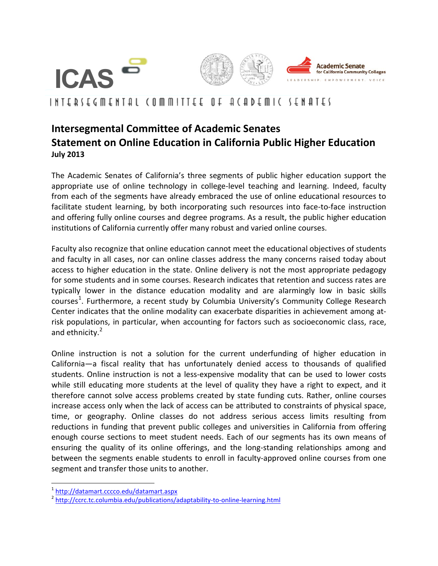

## INIEDIECWENIAI (OWWILIEE OL T(UDEWIC IENTIEI

## **Intersegmental Committee of Academic Senates Statement on Online Education in California Public Higher Education July 2013**

The Academic Senates of California's three segments of public higher education support the appropriate use of online technology in college-level teaching and learning. Indeed, faculty from each of the segments have already embraced the use of online educational resources to facilitate student learning, by both incorporating such resources into face-to-face instruction and offering fully online courses and degree programs. As a result, the public higher education institutions of California currently offer many robust and varied online courses.

Faculty also recognize that online education cannot meet the educational objectives of students and faculty in all cases, nor can online classes address the many concerns raised today about access to higher education in the state. Online delivery is not the most appropriate pedagogy for some students and in some courses. Research indicates that retention and success rates are typically lower in the distance education modality and are alarmingly low in basic skills courses<sup>[1](#page-0-0)</sup>. Furthermore, a recent study by Columbia University's Community College Research Center indicates that the online modality can exacerbate disparities in achievement among atrisk populations, in particular, when accounting for factors such as socioeconomic class, race, and ethnicity.<sup>[2](#page-0-1)</sup>

Online instruction is not a solution for the current underfunding of higher education in California—a fiscal reality that has unfortunately denied access to thousands of qualified students. Online instruction is not a less-expensive modality that can be used to lower costs while still educating more students at the level of quality they have a right to expect, and it therefore cannot solve access problems created by state funding cuts. Rather, online courses increase access only when the lack of access can be attributed to constraints of physical space, time, or geography. Online classes do not address serious access limits resulting from reductions in funding that prevent public colleges and universities in California from offering enough course sections to meet student needs. Each of our segments has its own means of ensuring the quality of its online offerings, and the long-standing relationships among and between the segments enable students to enroll in faculty-approved online courses from one segment and transfer those units to another.

<span id="page-0-1"></span><span id="page-0-0"></span> $\frac{1}{2}$  <http://datamart.cccco.edu/datamart.aspx><br> $\frac{2}{1}$ <http://ccrc.tc.columbia.edu/publications/adaptability-to-online-learning.html>